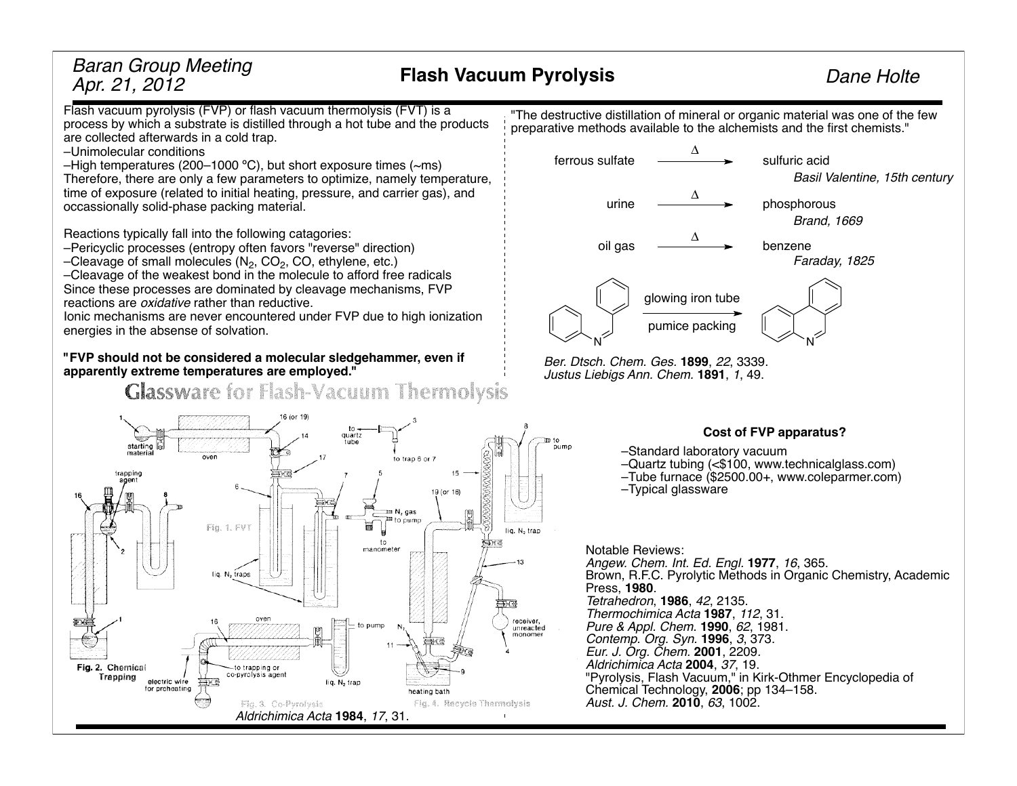## *Dane Holte Baran Group Meeting Apr. 21, 2012* **Flash Vacuum Pyrolysis**

Flash vacuum pyrolysis (FVP) or flash vacuum thermolysis (FVT) is a process by which a substrate is distilled through a hot tube and the products are collected afterwards in a cold trap.

–Unimolecular conditions

–High temperatures (200–1000 °C), but short exposure times  $(\sim$ ms) Therefore, there are only a few parameters to optimize, namely temperature, time of exposure (related to initial heating, pressure, and carrier gas), and occassionally solid-phase packing material.

Reactions typically fall into the following catagories:

- –Pericyclic processes (entropy often favors "reverse" direction)
- –Cleavage of small molecules  $(N_2, CO_2, CO,$  ethylene, etc.)

–Cleavage of the weakest bond in the molecule to afford free radicals Since these processes are dominated by cleavage mechanisms, FVP reactions are *oxidative* rather than reductive.

Ionic mechanisms are never encountered under FVP due to high ionization energies in the absense of solvation.

## **"FVP should not be considered a molecular sledgehammer, even if apparently extreme temperatures are employed."**





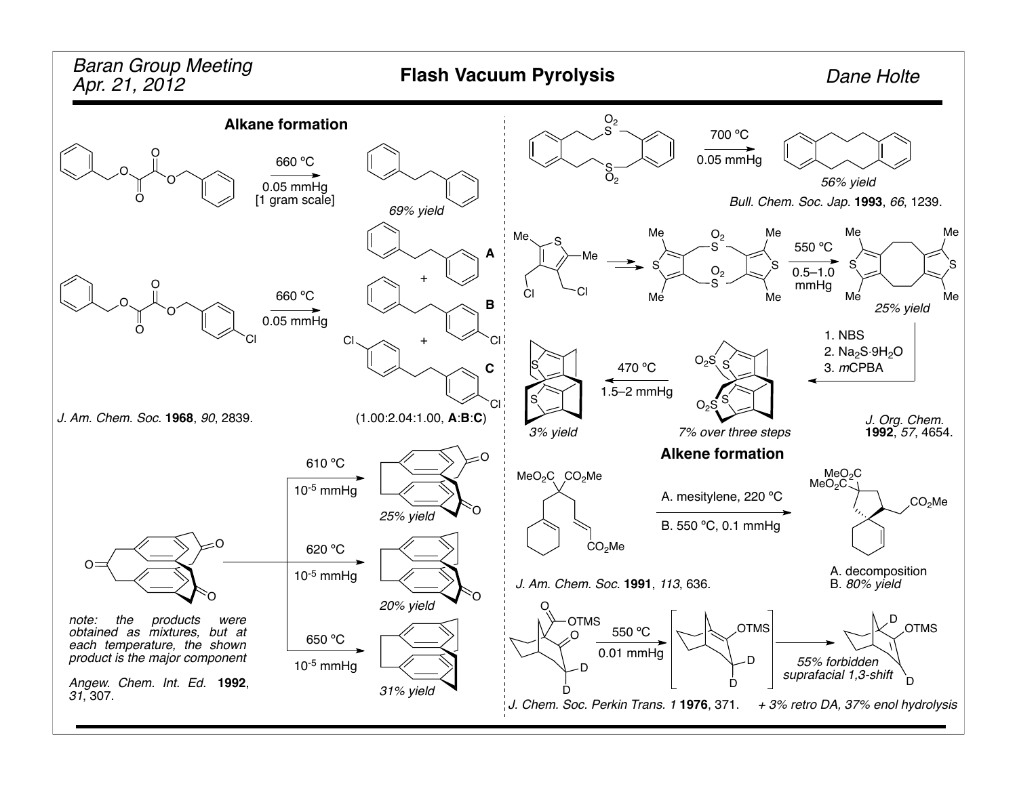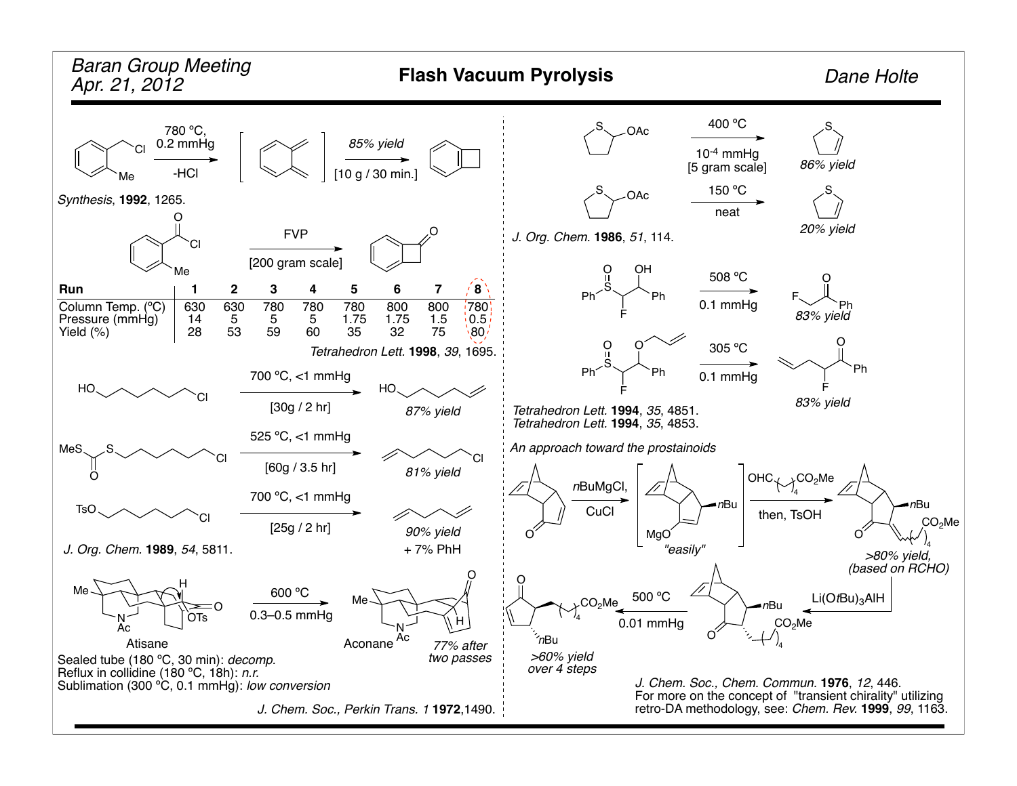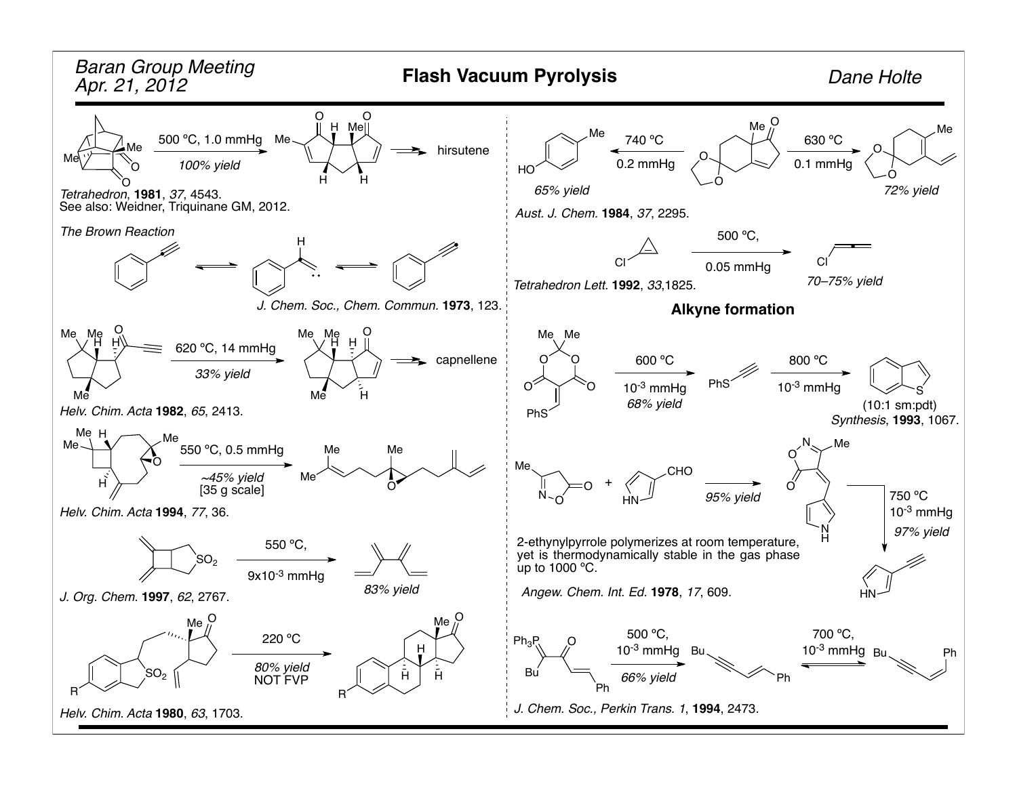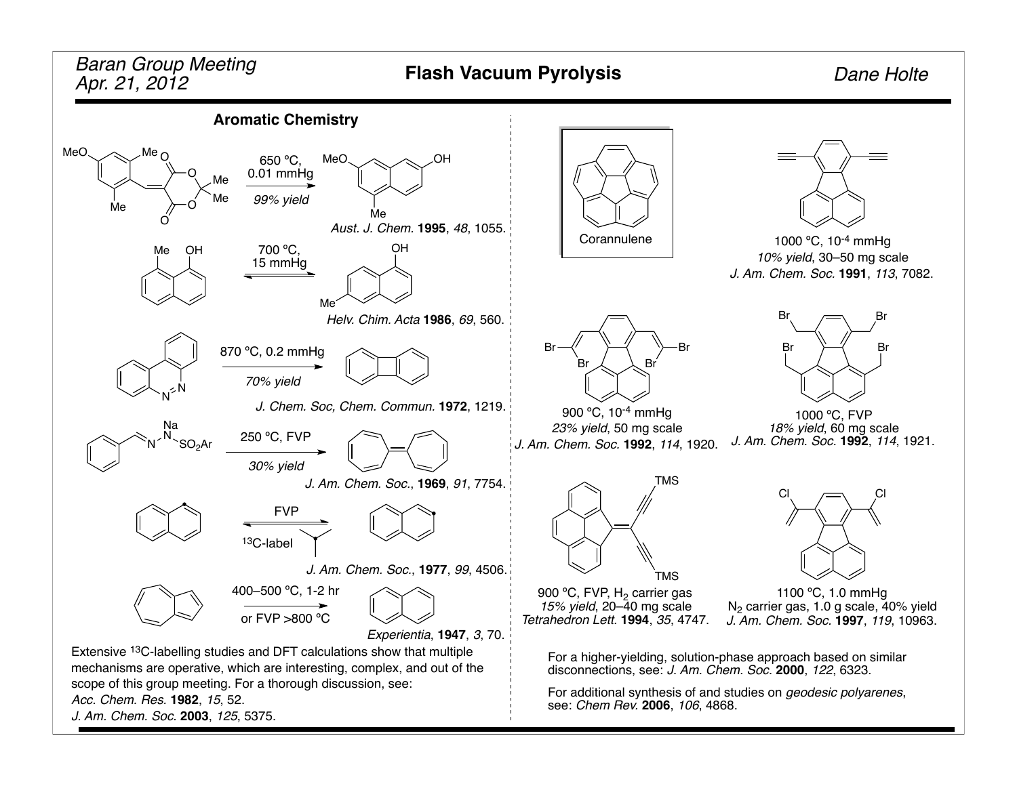

mechanisms are operative, which are interesting, complex, and out of the

scope of this group meeting. For a thorough discussion, see:

*Acc. Chem. Res.* **1982**, *15*, 52. *J. Am. Chem. Soc.* **2003**, *125*, 5375. For a higher-yielding, solution-phase approach based on similar disconnections, see: *J. Am. Chem. Soc.* **2000**, *122*, 6323.

For additional synthesis of and studies on *geodesic polyarenes*, see: *Chem Rev.* **2006**, *106*, 4868.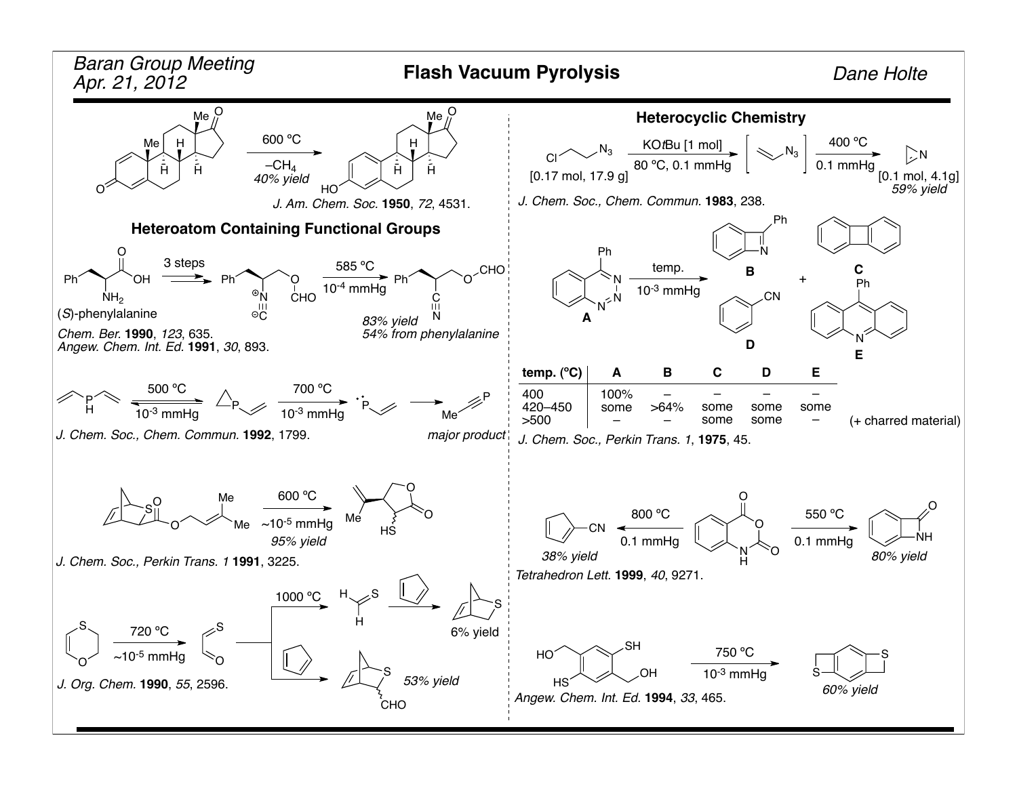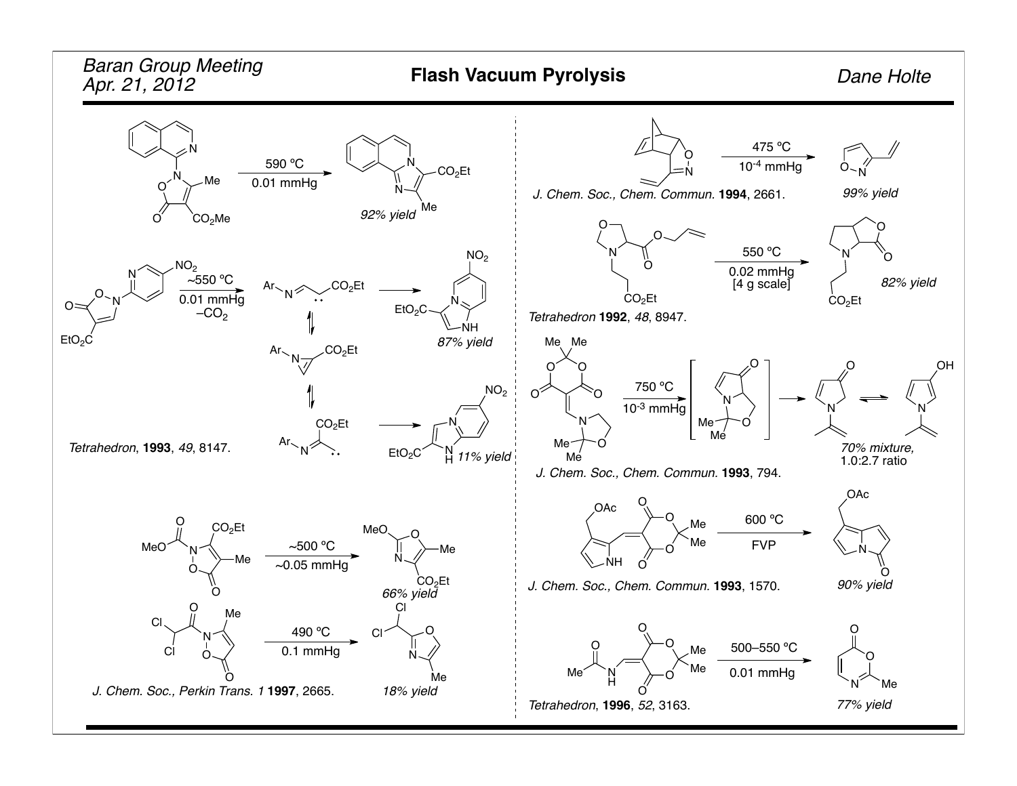